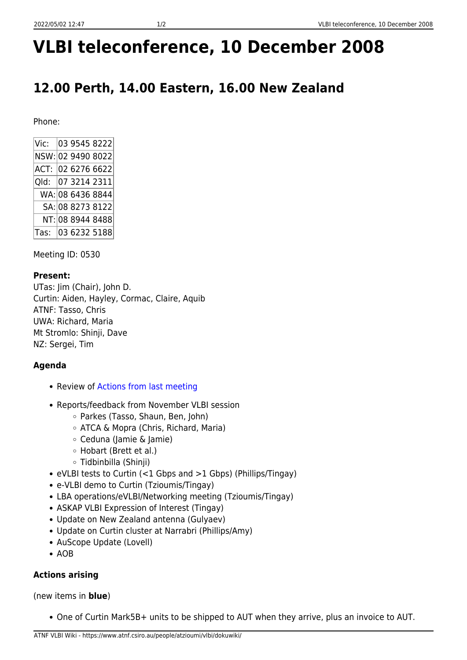# **VLBI teleconference, 10 December 2008**

## **12.00 Perth, 14.00 Eastern, 16.00 New Zealand**

Phone:

| Vic:              |  | 03 9545 8222      |
|-------------------|--|-------------------|
|                   |  | NSW: 02 9490 8022 |
| ACT: 02 6276 6622 |  |                   |
| Qld: 07 3214 2311 |  |                   |
|                   |  | WA: 08 6436 8844  |
|                   |  | SA: 08 8273 8122  |
|                   |  | NT: 08 8944 8488  |
|                   |  | Tas: 03 6232 5188 |

Meeting ID: 0530

#### **Present:**

UTas: Jim (Chair), John D. Curtin: Aiden, Hayley, Cormac, Claire, Aquib ATNF: Tasso, Chris UWA: Richard, Maria Mt Stromlo: Shinji, Dave NZ: Sergei, Tim

### **Agenda**

- Review of [Actions from last meeting](https://www.atnf.csiro.au/people/atzioumi/vlbi/dokuwiki/doku.php/lbaops/telecon2008nov19)
- Reports/feedback from November VLBI session
	- Parkes (Tasso, Shaun, Ben, John)
	- ATCA & Mopra (Chris, Richard, Maria)
	- Ceduna (Jamie & Jamie)
	- Hobart (Brett et al.)
	- Tidbinbilla (Shinji)
- eVLBI tests to Curtin (<1 Gbps and >1 Gbps) (Phillips/Tingay)
- e-VLBI demo to Curtin (Tzioumis/Tingay)
- LBA operations/eVLBI/Networking meeting (Tzioumis/Tingay)
- ASKAP VLBI Expression of Interest (Tingay)
- Update on New Zealand antenna (Gulyaev)
- Update on Curtin cluster at Narrabri (Phillips/Amy)
- AuScope Update (Lovell)
- $\bullet$  AOB

#### **Actions arising**

(new items in **blue**)

One of Curtin Mark5B+ units to be shipped to AUT when they arrive, plus an invoice to AUT.